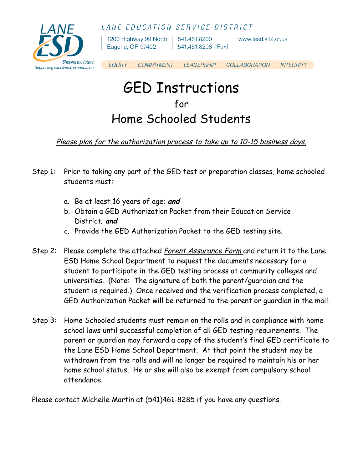LANE EDUCATION SERVICE DISTRICT



1200 Highway 99 North | 541.461.8200 Eugene, OR 97402

 $\vert$  541.461.8298 [Fax]

www.lesd.k12.or.us

**EQUITY COMMITMENT LEADERSHIP** COLLABORATION **INTEGRITY** 

# GED Instructions for Home Schooled Students

### Please plan for the authorization process to take up to 10-15 business days.

- Step 1: Prior to taking any part of the GED test or preparation classes, home schooled students must:
	- a. Be at least 16 years of age; **and**
	- b. Obtain a GED Authorization Packet from their Education Service District; **and**
	- c. Provide the GED Authorization Packet to the GED testing site.
- Step 2: Please complete the attached *Parent Assurance Form* and return it to the Lane ESD Home School Department to request the documents necessary for a student to participate in the GED testing process at community colleges and universities. (Note: The signature of both the parent/guardian and the student is required.) Once received and the verification process completed, a GED Authorization Packet will be returned to the parent or guardian in the mail.
- Step 3: Home Schooled students must remain on the rolls and in compliance with home school laws until successful completion of all GED testing requirements. The parent or guardian may forward a copy of the student's final GED certificate to the Lane ESD Home School Department. At that point the student may be withdrawn from the rolls and will no longer be required to maintain his or her home school status. He or she will also be exempt from compulsory school attendance.

Please contact Michelle Martin at (541)461-8285 if you have any questions.